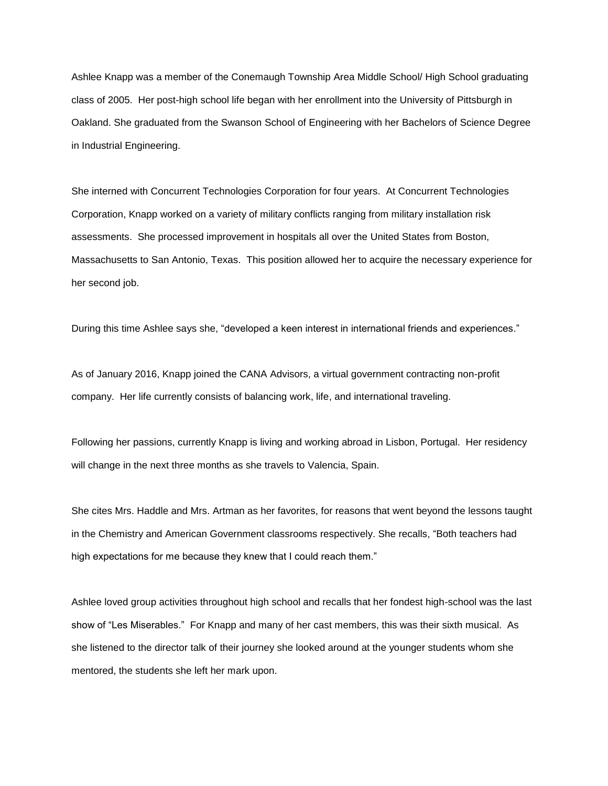Ashlee Knapp was a member of the Conemaugh Township Area Middle School/ High School graduating class of 2005. Her post-high school life began with her enrollment into the University of Pittsburgh in Oakland. She graduated from the Swanson School of Engineering with her Bachelors of Science Degree in Industrial Engineering.

She interned with Concurrent Technologies Corporation for four years. At Concurrent Technologies Corporation, Knapp worked on a variety of military conflicts ranging from military installation risk assessments. She processed improvement in hospitals all over the United States from Boston, Massachusetts to San Antonio, Texas. This position allowed her to acquire the necessary experience for her second job.

During this time Ashlee says she, "developed a keen interest in international friends and experiences."

As of January 2016, Knapp joined the CANA Advisors, a virtual government contracting non-profit company. Her life currently consists of balancing work, life, and international traveling.

Following her passions, currently Knapp is living and working abroad in Lisbon, Portugal. Her residency will change in the next three months as she travels to Valencia, Spain.

She cites Mrs. Haddle and Mrs. Artman as her favorites, for reasons that went beyond the lessons taught in the Chemistry and American Government classrooms respectively. She recalls, "Both teachers had high expectations for me because they knew that I could reach them."

Ashlee loved group activities throughout high school and recalls that her fondest high-school was the last show of "Les Miserables." For Knapp and many of her cast members, this was their sixth musical. As she listened to the director talk of their journey she looked around at the younger students whom she mentored, the students she left her mark upon.